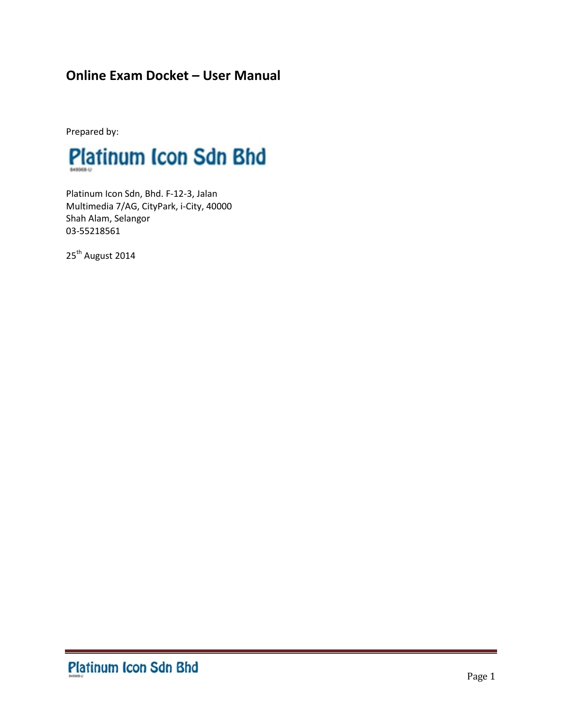# **Online Exam Docket – User Manual**

Prepared by:



Platinum Icon Sdn, Bhd. F-12-3, Jalan Multimedia 7/AG, CityPark, i-City, 40000 Shah Alam, Selangor 03-55218561

25<sup>th</sup> August 2014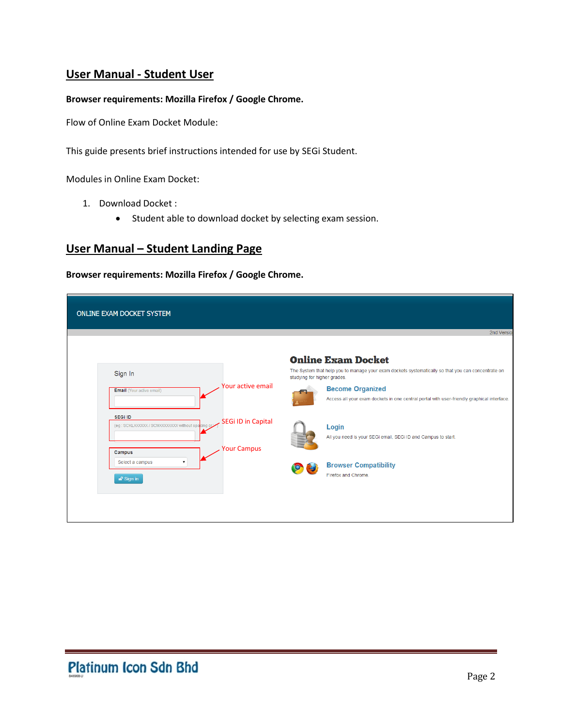# **User Manual - Student User**

#### **Browser requirements: Mozilla Firefox / Google Chrome.**

Flow of Online Exam Docket Module:

This guide presents brief instructions intended for use by SEGi Student.

Modules in Online Exam Docket:

- 1. Download Docket :
	- Student able to download docket by selecting exam session.

# **User Manual – Student Landing Page**

**Browser requirements: Mozilla Firefox / Google Chrome.**

| ONLINE EXAM DOCKET SYSTEM                                                                                             |                                                                                                                                                                |
|-----------------------------------------------------------------------------------------------------------------------|----------------------------------------------------------------------------------------------------------------------------------------------------------------|
|                                                                                                                       | 2nd Version                                                                                                                                                    |
| Sign In                                                                                                               | <b>Online Exam Docket</b><br>The System that help you to manage your exam dockets systematically so that you can concentrate on<br>studying for higher grades. |
| Your active email<br><b>Email</b> (Your active email)                                                                 | <b>Become Organized</b><br>Access all your exam dockets in one central portal with user-friendly graphical interface.                                          |
| <b>SEGi ID</b><br><b>SEGi ID in Capital</b><br>(eg: SCKLXXXXXX / SCMXXXXXXXX without spacing of<br><b>Your Campus</b> | Login<br>All you need is your SEGi email, SEGi ID and Campus to start.                                                                                         |
| Campus<br>Select a campus<br>▼<br>n <sup>o</sup> Sign in                                                              | <b>Browser Compatibility</b><br>$\circ$<br>Firefox and Chrome.                                                                                                 |
|                                                                                                                       |                                                                                                                                                                |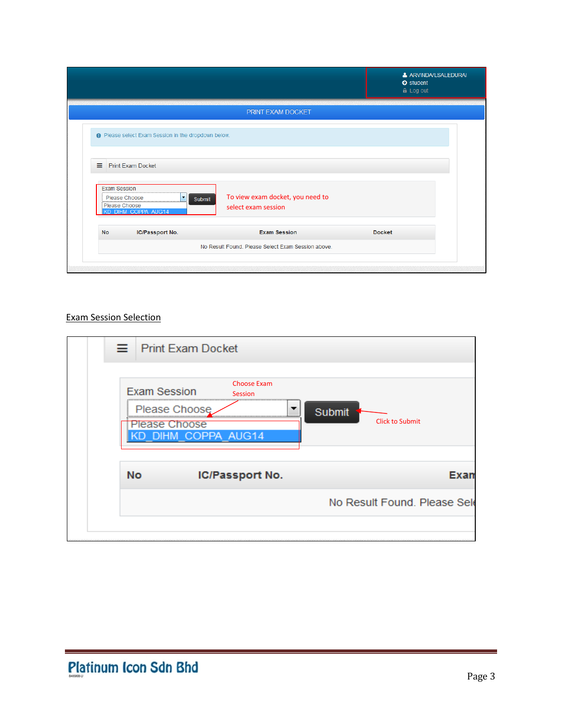|                                                                                                          |                                                                   | & ARVINDA/LSALEDURAI<br>$\bullet$ student<br><b>A</b> Log out |
|----------------------------------------------------------------------------------------------------------|-------------------------------------------------------------------|---------------------------------------------------------------|
|                                                                                                          | PRINT EXAM DOCKET                                                 |                                                               |
| <b>O</b> Please select Exam Session in the dropdown below.                                               |                                                                   |                                                               |
| <b>Print Exam Docket</b><br>Ξ                                                                            |                                                                   |                                                               |
| <b>Exam Session</b><br>Please Choose<br>$\vert \mathbf{v} \vert$<br>Please Choose<br>KD DIHM COPPA AUG14 | To view exam docket, you need to<br>Submit<br>select exam session |                                                               |
| <b>No</b><br>IC/Passport No.                                                                             | <b>Exam Session</b>                                               | <b>Docket</b>                                                 |
|                                                                                                          | No Result Found. Please Select Exam Session above.                |                                                               |
|                                                                                                          |                                                                   |                                                               |

## Exam Session Selection

| $\equiv$ Print Exam Docket           |                                      |                               |        |                              |
|--------------------------------------|--------------------------------------|-------------------------------|--------|------------------------------|
| <b>Exam Session</b><br>Please Choose | Please Choose<br>KD DIHM COPPA AUG14 | <b>Choose Exam</b><br>Session | Submit | <b>Click to Submit</b>       |
| <b>No</b>                            |                                      | IC/Passport No.               |        | Exan                         |
|                                      |                                      |                               |        | No Result Found. Please Sele |
|                                      |                                      |                               |        |                              |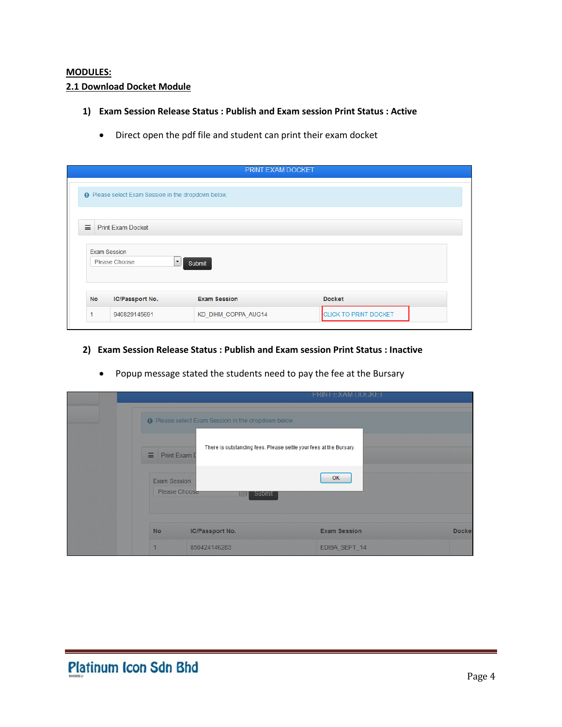#### **MODULES: 2.1 Download Docket Module**

- **1) Exam Session Release Status : Publish and Exam session Print Status : Active** 
	- Direct open the pdf file and student can print their exam docket

|           |                                                            | <b>PRINT EXAM DOCKET</b>       |               |  |
|-----------|------------------------------------------------------------|--------------------------------|---------------|--|
|           | <b>O</b> Please select Exam Session in the dropdown below. |                                |               |  |
|           |                                                            |                                |               |  |
| Ξ.        | <b>Print Exam Docket</b>                                   |                                |               |  |
|           |                                                            |                                |               |  |
|           |                                                            |                                |               |  |
|           | <b>Exam Session</b><br>Please Choose                       | $\blacktriangledown$<br>Submit |               |  |
|           |                                                            |                                |               |  |
|           |                                                            |                                |               |  |
| <b>No</b> | IC/Passport No.                                            | <b>Exam Session</b>            | <b>Docket</b> |  |

**2) Exam Session Release Status : Publish and Exam session Print Status : Inactive**

|                                       |                                                                                               | <b>PRINT EXAM DOCKET</b>                                                 |               |
|---------------------------------------|-----------------------------------------------------------------------------------------------|--------------------------------------------------------------------------|---------------|
| $\equiv$ Print Exam D<br>Exam Session | <b>O</b> Please select Exam Session in the dropdown below.<br>Please Choose<br>Submit<br>an i | There is outstanding fees. Please settle your fees at the Bursary.<br>OK |               |
| <b>No</b>                             | <b>IC/Passport No.</b>                                                                        | <b>Exam Session</b>                                                      | <b>Docket</b> |
|                                       | 850424146283                                                                                  | EDIBA SEPT_14                                                            |               |

• Popup message stated the students need to pay the fee at the Bursary